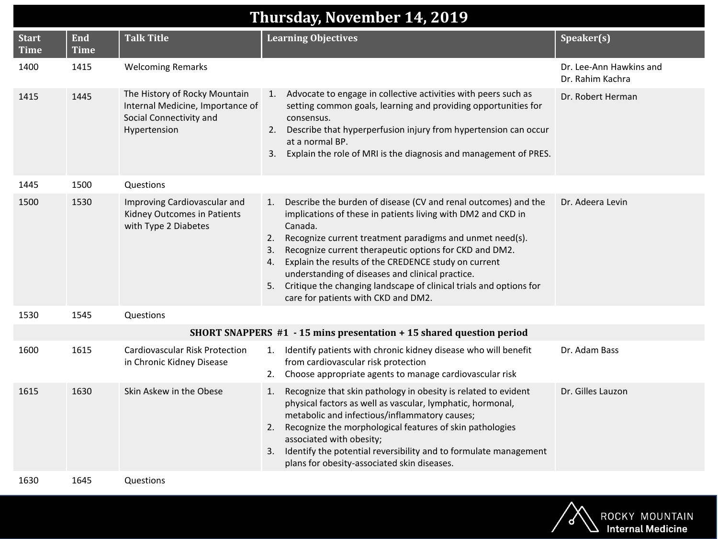| <b>Thursday, November 14, 2019</b> |                           |                                                                                                              |                                                                                                                                                                                                                                                                                                                                                                                                                                                                                                                        |                                             |
|------------------------------------|---------------------------|--------------------------------------------------------------------------------------------------------------|------------------------------------------------------------------------------------------------------------------------------------------------------------------------------------------------------------------------------------------------------------------------------------------------------------------------------------------------------------------------------------------------------------------------------------------------------------------------------------------------------------------------|---------------------------------------------|
| <b>Start</b><br><b>Time</b>        | <b>End</b><br><b>Time</b> | <b>Talk Title</b>                                                                                            | <b>Learning Objectives</b>                                                                                                                                                                                                                                                                                                                                                                                                                                                                                             | Speaker(s)                                  |
| 1400                               | 1415                      | <b>Welcoming Remarks</b>                                                                                     |                                                                                                                                                                                                                                                                                                                                                                                                                                                                                                                        | Dr. Lee-Ann Hawkins and<br>Dr. Rahim Kachra |
| 1415                               | 1445                      | The History of Rocky Mountain<br>Internal Medicine, Importance of<br>Social Connectivity and<br>Hypertension | Advocate to engage in collective activities with peers such as<br>1.<br>setting common goals, learning and providing opportunities for<br>consensus.<br>2. Describe that hyperperfusion injury from hypertension can occur<br>at a normal BP.<br>Explain the role of MRI is the diagnosis and management of PRES.<br>3.                                                                                                                                                                                                | Dr. Robert Herman                           |
| 1445                               | 1500                      | Questions                                                                                                    |                                                                                                                                                                                                                                                                                                                                                                                                                                                                                                                        |                                             |
| 1500                               | 1530                      | Improving Cardiovascular and<br>Kidney Outcomes in Patients<br>with Type 2 Diabetes                          | Describe the burden of disease (CV and renal outcomes) and the<br>1.<br>implications of these in patients living with DM2 and CKD in<br>Canada.<br>Recognize current treatment paradigms and unmet need(s).<br>2.<br>Recognize current therapeutic options for CKD and DM2.<br>3.<br>Explain the results of the CREDENCE study on current<br>4.<br>understanding of diseases and clinical practice.<br>Critique the changing landscape of clinical trials and options for<br>5.<br>care for patients with CKD and DM2. | Dr. Adeera Levin                            |
| 1530                               | 1545                      | Questions                                                                                                    |                                                                                                                                                                                                                                                                                                                                                                                                                                                                                                                        |                                             |
|                                    |                           |                                                                                                              | SHORT SNAPPERS #1 - 15 mins presentation + 15 shared question period                                                                                                                                                                                                                                                                                                                                                                                                                                                   |                                             |
| 1600                               | 1615                      | Cardiovascular Risk Protection<br>in Chronic Kidney Disease                                                  | Identify patients with chronic kidney disease who will benefit<br>1.<br>from cardiovascular risk protection<br>Choose appropriate agents to manage cardiovascular risk<br>2.                                                                                                                                                                                                                                                                                                                                           | Dr. Adam Bass                               |
| 1615                               | 1630                      | Skin Askew in the Obese                                                                                      | Recognize that skin pathology in obesity is related to evident<br>1.<br>physical factors as well as vascular, lymphatic, hormonal,<br>metabolic and infectious/inflammatory causes;<br>Recognize the morphological features of skin pathologies<br>2.<br>associated with obesity;<br>Identify the potential reversibility and to formulate management<br>3.<br>plans for obesity-associated skin diseases.                                                                                                             | Dr. Gilles Lauzon                           |
| 1630                               | 1645                      | Questions                                                                                                    |                                                                                                                                                                                                                                                                                                                                                                                                                                                                                                                        |                                             |

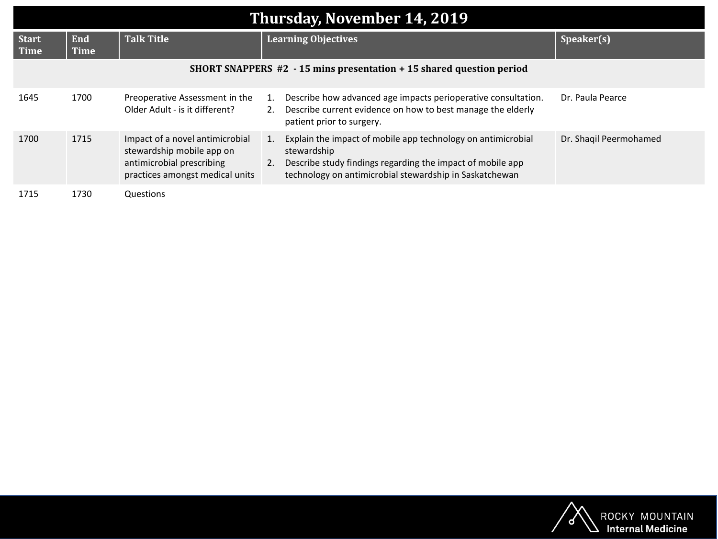| Thursday, November 14, 2019 |                                                                          |                                                                                                                              |                                                                                                                                                                                                                  |                        |  |
|-----------------------------|--------------------------------------------------------------------------|------------------------------------------------------------------------------------------------------------------------------|------------------------------------------------------------------------------------------------------------------------------------------------------------------------------------------------------------------|------------------------|--|
| <b>Start</b><br>Time        | <b>End</b><br><b>Time</b>                                                | <b>Talk Title</b>                                                                                                            | <b>Learning Objectives</b>                                                                                                                                                                                       | Speaker(s)             |  |
|                             | SHORT SNAPPERS $#2 - 15$ mins presentation $+ 15$ shared question period |                                                                                                                              |                                                                                                                                                                                                                  |                        |  |
| 1645                        | 1700                                                                     | Preoperative Assessment in the<br>Older Adult - is it different?                                                             | Describe how advanced age impacts perioperative consultation.<br>1.<br>Describe current evidence on how to best manage the elderly<br>2.<br>patient prior to surgery.                                            | Dr. Paula Pearce       |  |
| 1700                        | 1715                                                                     | Impact of a novel antimicrobial<br>stewardship mobile app on<br>antimicrobial prescribing<br>practices amongst medical units | Explain the impact of mobile app technology on antimicrobial<br>1.<br>stewardship<br>Describe study findings regarding the impact of mobile app<br>2.<br>technology on antimicrobial stewardship in Saskatchewan | Dr. Shaqil Peermohamed |  |
| 1715                        | 1730                                                                     | Questions                                                                                                                    |                                                                                                                                                                                                                  |                        |  |

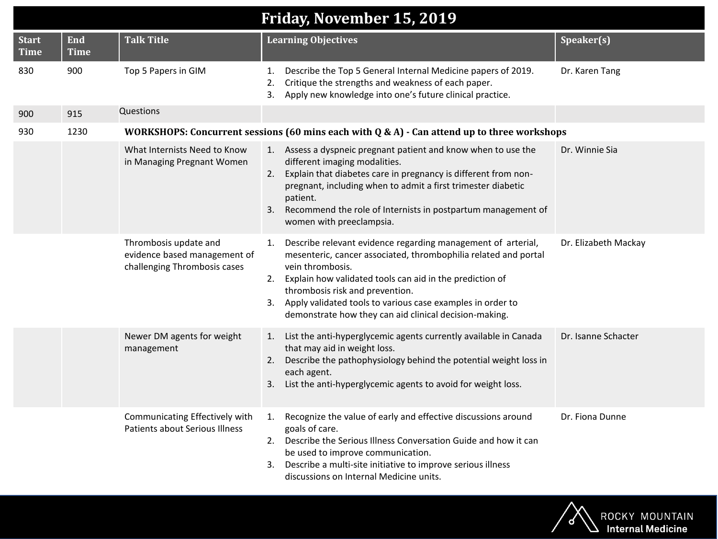| Friday, November 15, 2019 |                           |                                                                                       |                                                                                                                                                                                                                                                                                                                                                                                           |                      |
|---------------------------|---------------------------|---------------------------------------------------------------------------------------|-------------------------------------------------------------------------------------------------------------------------------------------------------------------------------------------------------------------------------------------------------------------------------------------------------------------------------------------------------------------------------------------|----------------------|
| Start<br><b>Time</b>      | <b>End</b><br><b>Time</b> | <b>Talk Title</b>                                                                     | <b>Learning Objectives</b>                                                                                                                                                                                                                                                                                                                                                                | Speaker(s)           |
| 830                       | 900                       | Top 5 Papers in GIM                                                                   | Describe the Top 5 General Internal Medicine papers of 2019.<br>1.<br>Critique the strengths and weakness of each paper.<br>2.<br>Apply new knowledge into one's future clinical practice.<br>3.                                                                                                                                                                                          | Dr. Karen Tang       |
| 900                       | 915                       | Questions                                                                             |                                                                                                                                                                                                                                                                                                                                                                                           |                      |
| 930                       | 1230                      |                                                                                       | WORKSHOPS: Concurrent sessions (60 mins each with $Q & A$ ) - Can attend up to three workshops                                                                                                                                                                                                                                                                                            |                      |
|                           |                           | What Internists Need to Know<br>in Managing Pregnant Women                            | 1. Assess a dyspneic pregnant patient and know when to use the<br>different imaging modalities.<br>Explain that diabetes care in pregnancy is different from non-<br>2.<br>pregnant, including when to admit a first trimester diabetic<br>patient.<br>3.<br>Recommend the role of Internists in postpartum management of<br>women with preeclampsia.                                     | Dr. Winnie Sia       |
|                           |                           | Thrombosis update and<br>evidence based management of<br>challenging Thrombosis cases | Describe relevant evidence regarding management of arterial,<br>1.<br>mesenteric, cancer associated, thrombophilia related and portal<br>vein thrombosis.<br>Explain how validated tools can aid in the prediction of<br>2.<br>thrombosis risk and prevention.<br>3. Apply validated tools to various case examples in order to<br>demonstrate how they can aid clinical decision-making. | Dr. Elizabeth Mackay |
|                           |                           | Newer DM agents for weight<br>management                                              | List the anti-hyperglycemic agents currently available in Canada<br>1.<br>that may aid in weight loss.<br>Describe the pathophysiology behind the potential weight loss in<br>2.<br>each agent.<br>List the anti-hyperglycemic agents to avoid for weight loss.<br>3.                                                                                                                     | Dr. Isanne Schacter  |
|                           |                           | Communicating Effectively with<br><b>Patients about Serious Illness</b>               | Recognize the value of early and effective discussions around<br>1.<br>goals of care.<br>Describe the Serious Illness Conversation Guide and how it can<br>2.<br>be used to improve communication.<br>Describe a multi-site initiative to improve serious illness<br>3.<br>discussions on Internal Medicine units.                                                                        | Dr. Fiona Dunne      |

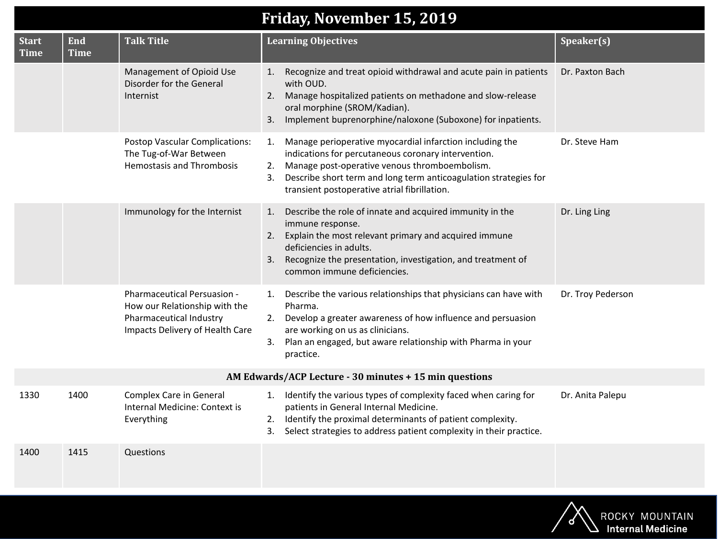## **Friday, November 15, 2019**

| <b>Start</b><br><b>Time</b>                            | End<br><b>Time</b> | <b>Talk Title</b>                                                                                                          | <b>Learning Objectives</b>                                                                                                                                                                                                                                                                             | Speaker(s)        |
|--------------------------------------------------------|--------------------|----------------------------------------------------------------------------------------------------------------------------|--------------------------------------------------------------------------------------------------------------------------------------------------------------------------------------------------------------------------------------------------------------------------------------------------------|-------------------|
|                                                        |                    | Management of Opioid Use<br>Disorder for the General<br>Internist                                                          | Recognize and treat opioid withdrawal and acute pain in patients<br>1.<br>with OUD.<br>Manage hospitalized patients on methadone and slow-release<br>2.<br>oral morphine (SROM/Kadian).<br>3. Implement buprenorphine/naloxone (Suboxone) for inpatients.                                              | Dr. Paxton Bach   |
|                                                        |                    | Postop Vascular Complications:<br>The Tug-of-War Between<br><b>Hemostasis and Thrombosis</b>                               | Manage perioperative myocardial infarction including the<br>1.<br>indications for percutaneous coronary intervention.<br>Manage post-operative venous thromboembolism.<br>2.<br>Describe short term and long term anticoagulation strategies for<br>3.<br>transient postoperative atrial fibrillation. | Dr. Steve Ham     |
|                                                        |                    | Immunology for the Internist                                                                                               | Describe the role of innate and acquired immunity in the<br>1.<br>immune response.<br>Explain the most relevant primary and acquired immune<br>2.<br>deficiencies in adults.<br>Recognize the presentation, investigation, and treatment of<br>3.<br>common immune deficiencies.                       | Dr. Ling Ling     |
|                                                        |                    | Pharmaceutical Persuasion -<br>How our Relationship with the<br>Pharmaceutical Industry<br>Impacts Delivery of Health Care | 1. Describe the various relationships that physicians can have with<br>Pharma.<br>2. Develop a greater awareness of how influence and persuasion<br>are working on us as clinicians.<br>3. Plan an engaged, but aware relationship with Pharma in your<br>practice.                                    | Dr. Troy Pederson |
| AM Edwards/ACP Lecture - 30 minutes + 15 min questions |                    |                                                                                                                            |                                                                                                                                                                                                                                                                                                        |                   |
| 1330                                                   | 1400               | Complex Care in General<br>Internal Medicine: Context is<br>Everything                                                     | Identify the various types of complexity faced when caring for<br>1.<br>patients in General Internal Medicine.<br>Identify the proximal determinants of patient complexity.<br>2.<br>Select strategies to address patient complexity in their practice.<br>3.                                          | Dr. Anita Palepu  |
| 1400                                                   | 1415               | Questions                                                                                                                  |                                                                                                                                                                                                                                                                                                        |                   |

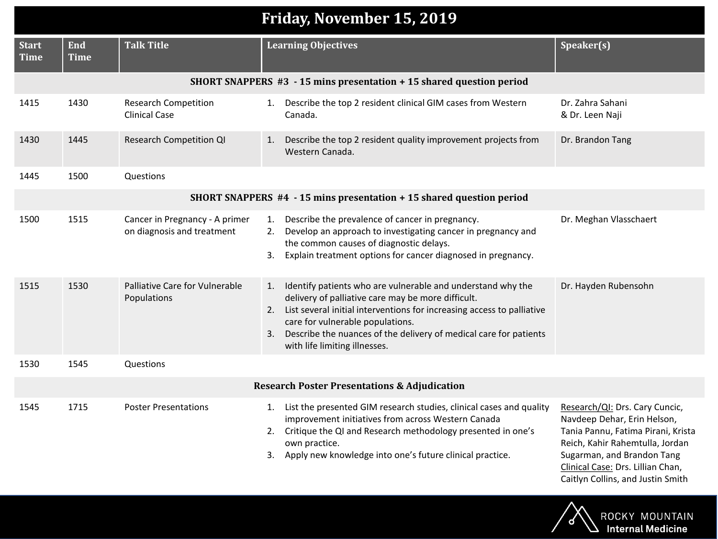| Friday, November 15, 2019   |                           |                                                              |                                                                                                                                                                                                                                                                                                                                                   |                                                                                                                                                                                                           |
|-----------------------------|---------------------------|--------------------------------------------------------------|---------------------------------------------------------------------------------------------------------------------------------------------------------------------------------------------------------------------------------------------------------------------------------------------------------------------------------------------------|-----------------------------------------------------------------------------------------------------------------------------------------------------------------------------------------------------------|
| <b>Start</b><br><b>Time</b> | <b>End</b><br><b>Time</b> | <b>Talk Title</b>                                            | <b>Learning Objectives</b>                                                                                                                                                                                                                                                                                                                        | Speaker(s)                                                                                                                                                                                                |
|                             |                           |                                                              | SHORT SNAPPERS #3 - 15 mins presentation + 15 shared question period                                                                                                                                                                                                                                                                              |                                                                                                                                                                                                           |
| 1415                        | 1430                      | <b>Research Competition</b><br><b>Clinical Case</b>          | Describe the top 2 resident clinical GIM cases from Western<br>1.<br>Canada.                                                                                                                                                                                                                                                                      | Dr. Zahra Sahani<br>& Dr. Leen Naji                                                                                                                                                                       |
| 1430                        | 1445                      | <b>Research Competition QI</b>                               | Describe the top 2 resident quality improvement projects from<br>1.<br>Western Canada.                                                                                                                                                                                                                                                            | Dr. Brandon Tang                                                                                                                                                                                          |
| 1445                        | 1500                      | Questions                                                    |                                                                                                                                                                                                                                                                                                                                                   |                                                                                                                                                                                                           |
|                             |                           |                                                              | SHORT SNAPPERS #4 - 15 mins presentation + 15 shared question period                                                                                                                                                                                                                                                                              |                                                                                                                                                                                                           |
| 1500                        | 1515                      | Cancer in Pregnancy - A primer<br>on diagnosis and treatment | Describe the prevalence of cancer in pregnancy.<br>1.<br>Develop an approach to investigating cancer in pregnancy and<br>2.<br>the common causes of diagnostic delays.<br>Explain treatment options for cancer diagnosed in pregnancy.<br>3.                                                                                                      | Dr. Meghan Vlasschaert                                                                                                                                                                                    |
| 1515                        | 1530                      | Palliative Care for Vulnerable<br>Populations                | Identify patients who are vulnerable and understand why the<br>1.<br>delivery of palliative care may be more difficult.<br>2. List several initial interventions for increasing access to palliative<br>care for vulnerable populations.<br>3. Describe the nuances of the delivery of medical care for patients<br>with life limiting illnesses. | Dr. Hayden Rubensohn                                                                                                                                                                                      |
| 1530                        | 1545                      | Questions                                                    |                                                                                                                                                                                                                                                                                                                                                   |                                                                                                                                                                                                           |
|                             |                           |                                                              | <b>Research Poster Presentations &amp; Adjudication</b>                                                                                                                                                                                                                                                                                           |                                                                                                                                                                                                           |
| 1545                        | 1715                      | <b>Poster Presentations</b>                                  | 1. List the presented GIM research studies, clinical cases and quality<br>improvement initiatives from across Western Canada<br>Critique the QI and Research methodology presented in one's<br>2.<br>own practice.<br>3. Apply new knowledge into one's future clinical practice.                                                                 | Research/QI: Drs. Cary Cuncic,<br>Navdeep Dehar, Erin Helson,<br>Tania Pannu, Fatima Pirani, Krista<br>Reich, Kahir Rahemtulla, Jordan<br>Sugarman, and Brandon Tang<br>Clinical Case: Drs. Lillian Chan, |

Caitlyn Collins, and Justin Smith

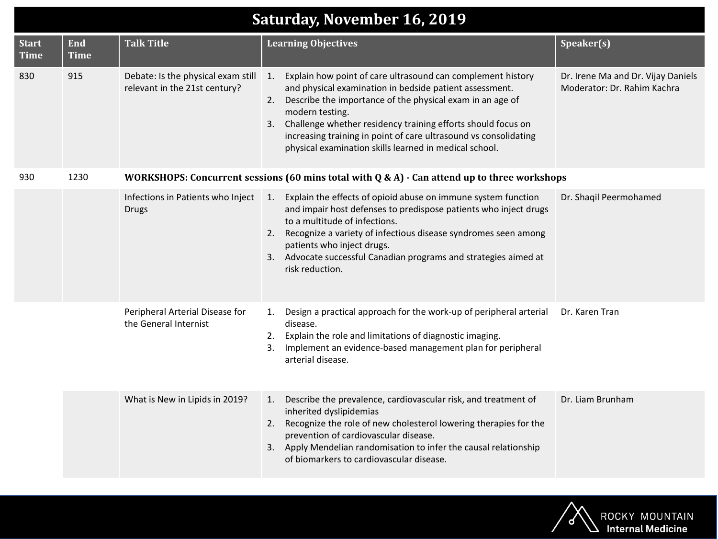| <b>Saturday, November 16, 2019</b> |                           |                                                                     |                                                                                                                                                                                                                                                                                                                                                                                                                  |                                                                   |
|------------------------------------|---------------------------|---------------------------------------------------------------------|------------------------------------------------------------------------------------------------------------------------------------------------------------------------------------------------------------------------------------------------------------------------------------------------------------------------------------------------------------------------------------------------------------------|-------------------------------------------------------------------|
| <b>Start</b><br><b>Time</b>        | <b>End</b><br><b>Time</b> | <b>Talk Title</b>                                                   | <b>Learning Objectives</b>                                                                                                                                                                                                                                                                                                                                                                                       | Speaker(s)                                                        |
| 830                                | 915                       | Debate: Is the physical exam still<br>relevant in the 21st century? | Explain how point of care ultrasound can complement history<br>1.<br>and physical examination in bedside patient assessment.<br>2. Describe the importance of the physical exam in an age of<br>modern testing.<br>3. Challenge whether residency training efforts should focus on<br>increasing training in point of care ultrasound vs consolidating<br>physical examination skills learned in medical school. | Dr. Irene Ma and Dr. Vijay Daniels<br>Moderator: Dr. Rahim Kachra |
| 930                                | 1230                      |                                                                     | WORKSHOPS: Concurrent sessions (60 mins total with $Q & A$ ) - Can attend up to three workshops                                                                                                                                                                                                                                                                                                                  |                                                                   |
|                                    |                           | Infections in Patients who Inject<br><b>Drugs</b>                   | Explain the effects of opioid abuse on immune system function<br>1.<br>and impair host defenses to predispose patients who inject drugs<br>to a multitude of infections.<br>2. Recognize a variety of infectious disease syndromes seen among<br>patients who inject drugs.<br>3. Advocate successful Canadian programs and strategies aimed at<br>risk reduction.                                               | Dr. Shaqil Peermohamed                                            |
|                                    |                           | Peripheral Arterial Disease for<br>the General Internist            | Design a practical approach for the work-up of peripheral arterial<br>1.<br>disease.<br>2. Explain the role and limitations of diagnostic imaging.<br>Implement an evidence-based management plan for peripheral<br>3.<br>arterial disease.                                                                                                                                                                      | Dr. Karen Tran                                                    |
|                                    |                           | What is New in Lipids in 2019?                                      | 1. Describe the prevalence, cardiovascular risk, and treatment of<br>inherited dyslipidemias<br>2. Recognize the role of new cholesterol lowering therapies for the<br>prevention of cardiovascular disease.<br>3. Apply Mendelian randomisation to infer the causal relationship<br>of biomarkers to cardiovascular disease.                                                                                    | Dr. Liam Brunham                                                  |